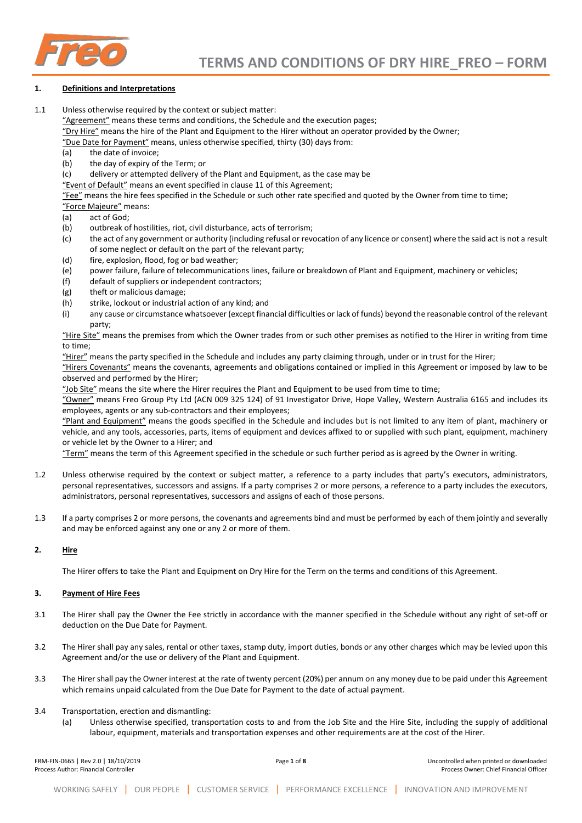

# **1. Definitions and Interpretations**

1.1 Unless otherwise required by the context or subject matter:

"Agreement" means these terms and conditions, the Schedule and the execution pages;

"Dry Hire" means the hire of the Plant and Equipment to the Hirer without an operator provided by the Owner;

"Due Date for Payment" means, unless otherwise specified, thirty (30) days from:

- (a) the date of invoice;
- (b) the day of expiry of the Term; or

(c) delivery or attempted delivery of the Plant and Equipment, as the case may be

"Event of Default" means an event specified in clause 11 of this Agreement;

"Fee" means the hire fees specified in the Schedule or such other rate specified and quoted by the Owner from time to time;

- "Force Majeure" means:
- (a) act of God;
- (b) outbreak of hostilities, riot, civil disturbance, acts of terrorism;
- (c) the act of any government or authority (including refusal or revocation of any licence or consent) where the said act is not a result of some neglect or default on the part of the relevant party;
- (d) fire, explosion, flood, fog or bad weather;
- (e) power failure, failure of telecommunications lines, failure or breakdown of Plant and Equipment, machinery or vehicles;
- (f) default of suppliers or independent contractors;
- (g) theft or malicious damage;
- (h) strike, lockout or industrial action of any kind; and
- (i) any cause or circumstance whatsoever (except financial difficulties or lack of funds) beyond the reasonable control of the relevant party;

"Hire Site" means the premises from which the Owner trades from or such other premises as notified to the Hirer in writing from time to time;

"Hirer" means the party specified in the Schedule and includes any party claiming through, under or in trust for the Hirer;

"Hirers Covenants" means the covenants, agreements and obligations contained or implied in this Agreement or imposed by law to be observed and performed by the Hirer;

"Job Site" means the site where the Hirer requires the Plant and Equipment to be used from time to time;

 $\frac{1}{2}$  means Freo Group Pty Ltd (ACN 009 325 124) of 91 Investigator Drive, Hope Valley, Western Australia 6165 and includes its employees, agents or any sub-contractors and their employees;

"Plant and Equipment" means the goods specified in the Schedule and includes but is not limited to any item of plant, machinery or vehicle, and any tools, accessories, parts, items of equipment and devices affixed to or supplied with such plant, equipment, machinery or vehicle let by the Owner to a Hirer; and

"Term" means the term of this Agreement specified in the schedule or such further period as is agreed by the Owner in writing.

- 1.2 Unless otherwise required by the context or subject matter, a reference to a party includes that party's executors, administrators, personal representatives, successors and assigns. If a party comprises 2 or more persons, a reference to a party includes the executors, administrators, personal representatives, successors and assigns of each of those persons.
- 1.3 If a party comprises 2 or more persons, the covenants and agreements bind and must be performed by each of them jointly and severally and may be enforced against any one or any 2 or more of them.

# **2. Hire**

The Hirer offers to take the Plant and Equipment on Dry Hire for the Term on the terms and conditions of this Agreement.

# **3. Payment of Hire Fees**

- 3.1 The Hirer shall pay the Owner the Fee strictly in accordance with the manner specified in the Schedule without any right of set-off or deduction on the Due Date for Payment.
- 3.2 The Hirer shall pay any sales, rental or other taxes, stamp duty, import duties, bonds or any other charges which may be levied upon this Agreement and/or the use or delivery of the Plant and Equipment.
- 3.3 The Hirer shall pay the Owner interest at the rate of twenty percent (20%) per annum on any money due to be paid under this Agreement which remains unpaid calculated from the Due Date for Payment to the date of actual payment.
- 3.4 Transportation, erection and dismantling:
	- (a) Unless otherwise specified, transportation costs to and from the Job Site and the Hire Site, including the supply of additional labour, equipment, materials and transportation expenses and other requirements are at the cost of the Hirer.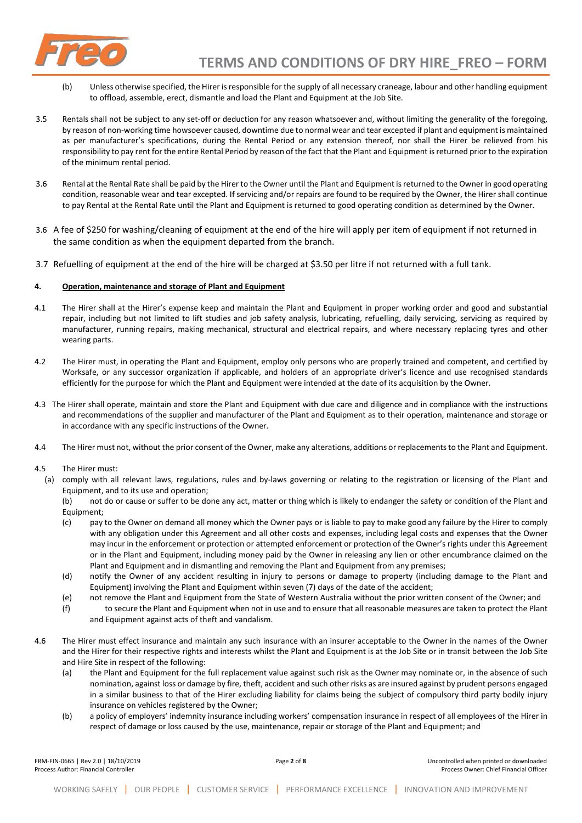

- (b) Unless otherwise specified, the Hirer is responsible for the supply of all necessary craneage, labour and other handling equipment to offload, assemble, erect, dismantle and load the Plant and Equipment at the Job Site.
- 3.5 Rentals shall not be subject to any set-off or deduction for any reason whatsoever and, without limiting the generality of the foregoing, by reason of non-working time howsoever caused, downtime due to normal wear and tear excepted if plant and equipment is maintained as per manufacturer's specifications, during the Rental Period or any extension thereof, nor shall the Hirer be relieved from his responsibility to pay rent for the entire Rental Period by reason of the fact that the Plant and Equipment is returned prior to the expiration of the minimum rental period.
- 3.6 Rental at the Rental Rate shall be paid by the Hirer to the Owner until the Plant and Equipment is returned to the Owner in good operating condition, reasonable wear and tear excepted. If servicing and/or repairs are found to be required by the Owner, the Hirer shall continue to pay Rental at the Rental Rate until the Plant and Equipment is returned to good operating condition as determined by the Owner.
- 3.6 A fee of \$250 for washing/cleaning of equipment at the end of the hire will apply per item of equipment if not returned in the same condition as when the equipment departed from the branch.
- 3.7 Refuelling of equipment at the end of the hire will be charged at \$3.50 per litre if not returned with a full tank.

# **4. Operation, maintenance and storage of Plant and Equipment**

- 4.1 The Hirer shall at the Hirer's expense keep and maintain the Plant and Equipment in proper working order and good and substantial repair, including but not limited to lift studies and job safety analysis, lubricating, refuelling, daily servicing, servicing as required by manufacturer, running repairs, making mechanical, structural and electrical repairs, and where necessary replacing tyres and other wearing parts.
- 4.2 The Hirer must, in operating the Plant and Equipment, employ only persons who are properly trained and competent, and certified by Worksafe, or any successor organization if applicable, and holders of an appropriate driver's licence and use recognised standards efficiently for the purpose for which the Plant and Equipment were intended at the date of its acquisition by the Owner.
- 4.3 The Hirer shall operate, maintain and store the Plant and Equipment with due care and diligence and in compliance with the instructions and recommendations of the supplier and manufacturer of the Plant and Equipment as to their operation, maintenance and storage or in accordance with any specific instructions of the Owner.
- 4.4 The Hirer must not, without the prior consent of the Owner, make any alterations, additions or replacements to the Plant and Equipment.
- 4.5 The Hirer must:
	- (a) comply with all relevant laws, regulations, rules and by-laws governing or relating to the registration or licensing of the Plant and Equipment, and to its use and operation;
		- (b) not do or cause or suffer to be done any act, matter or thing which is likely to endanger the safety or condition of the Plant and Equipment;
		- (c) pay to the Owner on demand all money which the Owner pays or is liable to pay to make good any failure by the Hirer to comply with any obligation under this Agreement and all other costs and expenses, including legal costs and expenses that the Owner may incur in the enforcement or protection or attempted enforcement or protection of the Owner's rights under this Agreement or in the Plant and Equipment, including money paid by the Owner in releasing any lien or other encumbrance claimed on the Plant and Equipment and in dismantling and removing the Plant and Equipment from any premises;
		- (d) notify the Owner of any accident resulting in injury to persons or damage to property (including damage to the Plant and Equipment) involving the Plant and Equipment within seven (7) days of the date of the accident;
		- (e) not remove the Plant and Equipment from the State of Western Australia without the prior written consent of the Owner; and
		- (f) to secure the Plant and Equipment when not in use and to ensure that all reasonable measures are taken to protect the Plant and Equipment against acts of theft and vandalism.
- 4.6 The Hirer must effect insurance and maintain any such insurance with an insurer acceptable to the Owner in the names of the Owner and the Hirer for their respective rights and interests whilst the Plant and Equipment is at the Job Site or in transit between the Job Site and Hire Site in respect of the following:
	- (a) the Plant and Equipment for the full replacement value against such risk as the Owner may nominate or, in the absence of such nomination, against loss or damage by fire, theft, accident and such other risks as are insured against by prudent persons engaged in a similar business to that of the Hirer excluding liability for claims being the subject of compulsory third party bodily injury insurance on vehicles registered by the Owner;
	- (b) a policy of employers' indemnity insurance including workers' compensation insurance in respect of all employees of the Hirer in respect of damage or loss caused by the use, maintenance, repair or storage of the Plant and Equipment; and

| FRM-FIN-0665   Rev 2.0   18/10/2019  |  |
|--------------------------------------|--|
| Process Author: Financial Controller |  |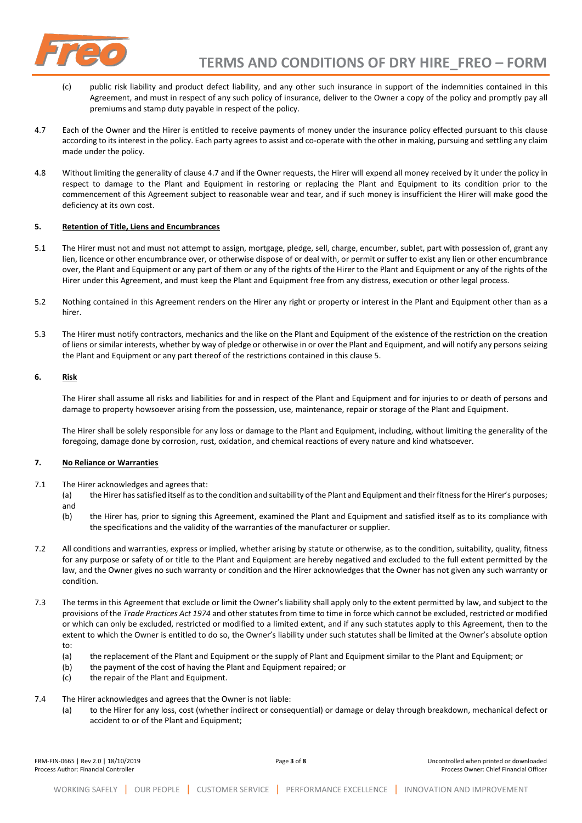

- (c) public risk liability and product defect liability, and any other such insurance in support of the indemnities contained in this Agreement, and must in respect of any such policy of insurance, deliver to the Owner a copy of the policy and promptly pay all premiums and stamp duty payable in respect of the policy.
- 4.7 Each of the Owner and the Hirer is entitled to receive payments of money under the insurance policy effected pursuant to this clause according to its interest in the policy. Each party agrees to assist and co-operate with the other in making, pursuing and settling any claim made under the policy.
- 4.8 Without limiting the generality of clause 4.7 and if the Owner requests, the Hirer will expend all money received by it under the policy in respect to damage to the Plant and Equipment in restoring or replacing the Plant and Equipment to its condition prior to the commencement of this Agreement subject to reasonable wear and tear, and if such money is insufficient the Hirer will make good the deficiency at its own cost.

#### **5. Retention of Title, Liens and Encumbrances**

- 5.1 The Hirer must not and must not attempt to assign, mortgage, pledge, sell, charge, encumber, sublet, part with possession of, grant any lien, licence or other encumbrance over, or otherwise dispose of or deal with, or permit or suffer to exist any lien or other encumbrance over, the Plant and Equipment or any part of them or any of the rights of the Hirer to the Plant and Equipment or any of the rights of the Hirer under this Agreement, and must keep the Plant and Equipment free from any distress, execution or other legal process.
- 5.2 Nothing contained in this Agreement renders on the Hirer any right or property or interest in the Plant and Equipment other than as a hirer.
- 5.3 The Hirer must notify contractors, mechanics and the like on the Plant and Equipment of the existence of the restriction on the creation of liens or similar interests, whether by way of pledge or otherwise in or over the Plant and Equipment, and will notify any persons seizing the Plant and Equipment or any part thereof of the restrictions contained in this clause 5.

#### **6. Risk**

The Hirer shall assume all risks and liabilities for and in respect of the Plant and Equipment and for injuries to or death of persons and damage to property howsoever arising from the possession, use, maintenance, repair or storage of the Plant and Equipment.

The Hirer shall be solely responsible for any loss or damage to the Plant and Equipment, including, without limiting the generality of the foregoing, damage done by corrosion, rust, oxidation, and chemical reactions of every nature and kind whatsoever.

#### **7. No Reliance or Warranties**

- 7.1 The Hirer acknowledges and agrees that:
	- (a) the Hirer has satisfied itself as to the condition and suitability of the Plant and Equipment and their fitness for the Hirer's purposes; and
	- (b) the Hirer has, prior to signing this Agreement, examined the Plant and Equipment and satisfied itself as to its compliance with the specifications and the validity of the warranties of the manufacturer or supplier.
- 7.2 All conditions and warranties, express or implied, whether arising by statute or otherwise, as to the condition, suitability, quality, fitness for any purpose or safety of or title to the Plant and Equipment are hereby negatived and excluded to the full extent permitted by the law, and the Owner gives no such warranty or condition and the Hirer acknowledges that the Owner has not given any such warranty or condition.
- 7.3 The terms in this Agreement that exclude or limit the Owner's liability shall apply only to the extent permitted by law, and subject to the provisions of the *Trade Practices Act 1974* and other statutes from time to time in force which cannot be excluded, restricted or modified or which can only be excluded, restricted or modified to a limited extent, and if any such statutes apply to this Agreement, then to the extent to which the Owner is entitled to do so, the Owner's liability under such statutes shall be limited at the Owner's absolute option to:
	- (a) the replacement of the Plant and Equipment or the supply of Plant and Equipment similar to the Plant and Equipment; or
	- (b) the payment of the cost of having the Plant and Equipment repaired; or
	- (c) the repair of the Plant and Equipment.
- 7.4 The Hirer acknowledges and agrees that the Owner is not liable:
	- (a) to the Hirer for any loss, cost (whether indirect or consequential) or damage or delay through breakdown, mechanical defect or accident to or of the Plant and Equipment;

FRM-FIN-0665 | Rev 2.0 | 18/10/2019 Page **3** of **8** Uncontrolled when printed or downloaded Process Author: Financial Controller Process Owner: Chief Financial Officer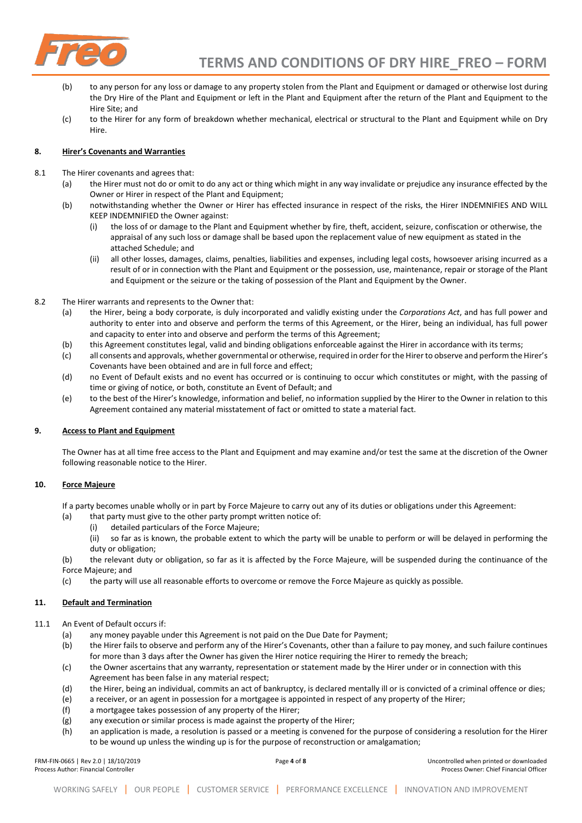

- (b) to any person for any loss or damage to any property stolen from the Plant and Equipment or damaged or otherwise lost during the Dry Hire of the Plant and Equipment or left in the Plant and Equipment after the return of the Plant and Equipment to the Hire Site; and
- (c) to the Hirer for any form of breakdown whether mechanical, electrical or structural to the Plant and Equipment while on Dry Hire.

#### **8. Hirer's Covenants and Warranties**

- 8.1 The Hirer covenants and agrees that:
	- (a) the Hirer must not do or omit to do any act or thing which might in any way invalidate or prejudice any insurance effected by the Owner or Hirer in respect of the Plant and Equipment;
	- (b) notwithstanding whether the Owner or Hirer has effected insurance in respect of the risks, the Hirer INDEMNIFIES AND WILL KEEP INDEMNIFIED the Owner against:
		- (i) the loss of or damage to the Plant and Equipment whether by fire, theft, accident, seizure, confiscation or otherwise, the appraisal of any such loss or damage shall be based upon the replacement value of new equipment as stated in the attached Schedule; and
		- (ii) all other losses, damages, claims, penalties, liabilities and expenses, including legal costs, howsoever arising incurred as a result of or in connection with the Plant and Equipment or the possession, use, maintenance, repair or storage of the Plant and Equipment or the seizure or the taking of possession of the Plant and Equipment by the Owner.
- 8.2 The Hirer warrants and represents to the Owner that:
	- (a) the Hirer, being a body corporate, is duly incorporated and validly existing under the *Corporations Act*, and has full power and authority to enter into and observe and perform the terms of this Agreement, or the Hirer, being an individual, has full power and capacity to enter into and observe and perform the terms of this Agreement;
	- (b) this Agreement constitutes legal, valid and binding obligations enforceable against the Hirer in accordance with its terms;
	- (c) all consents and approvals, whether governmental or otherwise, required in order for the Hirer to observe and perform the Hirer's Covenants have been obtained and are in full force and effect;
	- (d) no Event of Default exists and no event has occurred or is continuing to occur which constitutes or might, with the passing of time or giving of notice, or both, constitute an Event of Default; and
	- (e) to the best of the Hirer's knowledge, information and belief, no information supplied by the Hirer to the Owner in relation to this Agreement contained any material misstatement of fact or omitted to state a material fact.

# **9. Access to Plant and Equipment**

The Owner has at all time free access to the Plant and Equipment and may examine and/or test the same at the discretion of the Owner following reasonable notice to the Hirer.

# **10. Force Majeure**

If a party becomes unable wholly or in part by Force Majeure to carry out any of its duties or obligations under this Agreement:

- (a) that party must give to the other party prompt written notice of:
	- (i) detailed particulars of the Force Majeure;

(ii) so far as is known, the probable extent to which the party will be unable to perform or will be delayed in performing the duty or obligation;

(b) the relevant duty or obligation, so far as it is affected by the Force Majeure, will be suspended during the continuance of the Force Majeure; and

(c) the party will use all reasonable efforts to overcome or remove the Force Majeure as quickly as possible.

# **11. Default and Termination**

11.1 An Event of Default occurs if:

- (a) any money payable under this Agreement is not paid on the Due Date for Payment;
- (b) the Hirer fails to observe and perform any of the Hirer's Covenants, other than a failure to pay money, and such failure continues for more than 3 days after the Owner has given the Hirer notice requiring the Hirer to remedy the breach;
- (c) the Owner ascertains that any warranty, representation or statement made by the Hirer under or in connection with this Agreement has been false in any material respect;
- (d) the Hirer, being an individual, commits an act of bankruptcy, is declared mentally ill or is convicted of a criminal offence or dies;
- (e) a receiver, or an agent in possession for a mortgagee is appointed in respect of any property of the Hirer;
- (f) a mortgagee takes possession of any property of the Hirer;
- (g) any execution or similar process is made against the property of the Hirer;
- (h) an application is made, a resolution is passed or a meeting is convened for the purpose of considering a resolution for the Hirer to be wound up unless the winding up is for the purpose of reconstruction or amalgamation;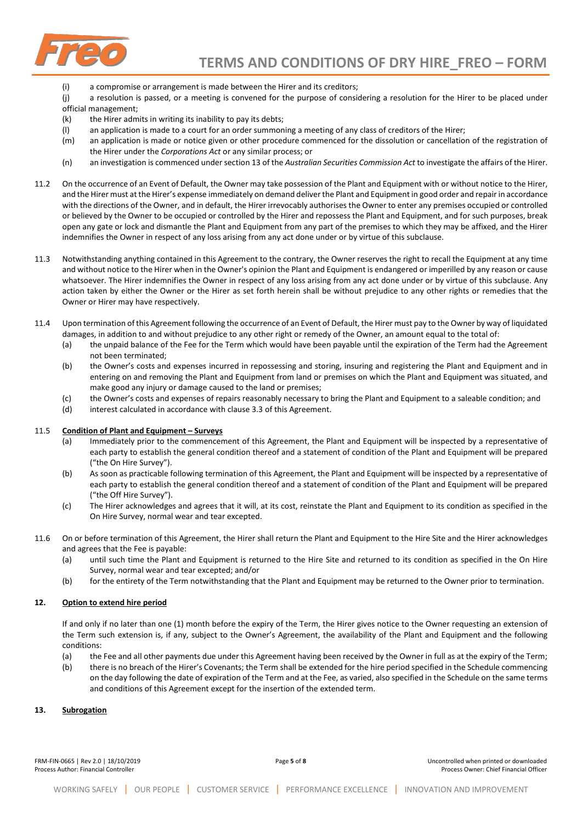

- (i) a compromise or arrangement is made between the Hirer and its creditors;
- (j) a resolution is passed, or a meeting is convened for the purpose of considering a resolution for the Hirer to be placed under official management;
- (k) the Hirer admits in writing its inability to pay its debts;
- (l) an application is made to a court for an order summoning a meeting of any class of creditors of the Hirer;
- (m) an application is made or notice given or other procedure commenced for the dissolution or cancellation of the registration of the Hirer under the *Corporations Act* or any similar process; or
- (n) an investigation is commenced under section 13 of the *Australian Securities Commission Act* to investigate the affairs of the Hirer.
- 11.2 On the occurrence of an Event of Default, the Owner may take possession of the Plant and Equipment with or without notice to the Hirer, and the Hirer must at the Hirer's expense immediately on demand deliver the Plant and Equipment in good order and repair in accordance with the directions of the Owner, and in default, the Hirer irrevocably authorises the Owner to enter any premises occupied or controlled or believed by the Owner to be occupied or controlled by the Hirer and repossess the Plant and Equipment, and for such purposes, break open any gate or lock and dismantle the Plant and Equipment from any part of the premises to which they may be affixed, and the Hirer indemnifies the Owner in respect of any loss arising from any act done under or by virtue of this subclause.
- 11.3 Notwithstanding anything contained in this Agreement to the contrary, the Owner reserves the right to recall the Equipment at any time and without notice to the Hirer when in the Owner's opinion the Plant and Equipment is endangered or imperilled by any reason or cause whatsoever. The Hirer indemnifies the Owner in respect of any loss arising from any act done under or by virtue of this subclause. Any action taken by either the Owner or the Hirer as set forth herein shall be without prejudice to any other rights or remedies that the Owner or Hirer may have respectively.
- 11.4 Upon termination of this Agreement following the occurrence of an Event of Default, the Hirer must pay to the Owner by way of liquidated damages, in addition to and without prejudice to any other right or remedy of the Owner, an amount equal to the total of:
	- (a) the unpaid balance of the Fee for the Term which would have been payable until the expiration of the Term had the Agreement not been terminated;
	- (b) the Owner's costs and expenses incurred in repossessing and storing, insuring and registering the Plant and Equipment and in entering on and removing the Plant and Equipment from land or premises on which the Plant and Equipment was situated, and make good any injury or damage caused to the land or premises;
	- (c) the Owner's costs and expenses of repairs reasonably necessary to bring the Plant and Equipment to a saleable condition; and
	- (d) interest calculated in accordance with clause 3.3 of this Agreement.

#### 11.5 **Condition of Plant and Equipment – Surveys**

- (a) Immediately prior to the commencement of this Agreement, the Plant and Equipment will be inspected by a representative of each party to establish the general condition thereof and a statement of condition of the Plant and Equipment will be prepared ("the On Hire Survey").
- (b) As soon as practicable following termination of this Agreement, the Plant and Equipment will be inspected by a representative of each party to establish the general condition thereof and a statement of condition of the Plant and Equipment will be prepared ("the Off Hire Survey").
- (c) The Hirer acknowledges and agrees that it will, at its cost, reinstate the Plant and Equipment to its condition as specified in the On Hire Survey, normal wear and tear excepted.
- 11.6 On or before termination of this Agreement, the Hirer shall return the Plant and Equipment to the Hire Site and the Hirer acknowledges and agrees that the Fee is payable:
	- (a) until such time the Plant and Equipment is returned to the Hire Site and returned to its condition as specified in the On Hire Survey, normal wear and tear excepted; and/or
	- (b) for the entirety of the Term notwithstanding that the Plant and Equipment may be returned to the Owner prior to termination.

#### **12. Option to extend hire period**

If and only if no later than one (1) month before the expiry of the Term, the Hirer gives notice to the Owner requesting an extension of the Term such extension is, if any, subject to the Owner's Agreement, the availability of the Plant and Equipment and the following conditions:

- (a) the Fee and all other payments due under this Agreement having been received by the Owner in full as at the expiry of the Term;
- (b) there is no breach of the Hirer's Covenants; the Term shall be extended for the hire period specified in the Schedule commencing on the day following the date of expiration of the Term and at the Fee, as varied, also specified in the Schedule on the same terms and conditions of this Agreement except for the insertion of the extended term.

#### **13. Subrogation**

FRM-FIN-0665 | Rev 2.0 | 18/10/2019 Page **5** of **8** Uncontrolled when printed or downloaded Process Author: Financial Controller Process Owner: Chief Financial Officer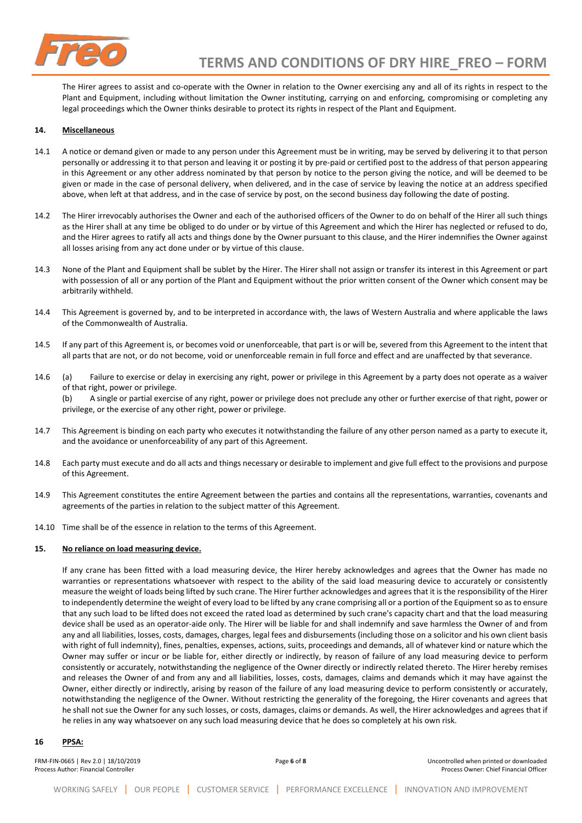

The Hirer agrees to assist and co-operate with the Owner in relation to the Owner exercising any and all of its rights in respect to the Plant and Equipment, including without limitation the Owner instituting, carrying on and enforcing, compromising or completing any legal proceedings which the Owner thinks desirable to protect its rights in respect of the Plant and Equipment.

# **14. Miscellaneous**

- 14.1 A notice or demand given or made to any person under this Agreement must be in writing, may be served by delivering it to that person personally or addressing it to that person and leaving it or posting it by pre-paid or certified post to the address of that person appearing in this Agreement or any other address nominated by that person by notice to the person giving the notice, and will be deemed to be given or made in the case of personal delivery, when delivered, and in the case of service by leaving the notice at an address specified above, when left at that address, and in the case of service by post, on the second business day following the date of posting.
- 14.2 The Hirer irrevocably authorises the Owner and each of the authorised officers of the Owner to do on behalf of the Hirer all such things as the Hirer shall at any time be obliged to do under or by virtue of this Agreement and which the Hirer has neglected or refused to do, and the Hirer agrees to ratify all acts and things done by the Owner pursuant to this clause, and the Hirer indemnifies the Owner against all losses arising from any act done under or by virtue of this clause.
- 14.3 None of the Plant and Equipment shall be sublet by the Hirer. The Hirer shall not assign or transfer its interest in this Agreement or part with possession of all or any portion of the Plant and Equipment without the prior written consent of the Owner which consent may be arbitrarily withheld.
- 14.4 This Agreement is governed by, and to be interpreted in accordance with, the laws of Western Australia and where applicable the laws of the Commonwealth of Australia.
- 14.5 If any part of this Agreement is, or becomes void or unenforceable, that part is or will be, severed from this Agreement to the intent that all parts that are not, or do not become, void or unenforceable remain in full force and effect and are unaffected by that severance.
- 14.6 (a) Failure to exercise or delay in exercising any right, power or privilege in this Agreement by a party does not operate as a waiver of that right, power or privilege. (b) A single or partial exercise of any right, power or privilege does not preclude any other or further exercise of that right, power or privilege, or the exercise of any other right, power or privilege.
- 14.7 This Agreement is binding on each party who executes it notwithstanding the failure of any other person named as a party to execute it, and the avoidance or unenforceability of any part of this Agreement.
- 14.8 Each party must execute and do all acts and things necessary or desirable to implement and give full effect to the provisions and purpose of this Agreement.
- 14.9 This Agreement constitutes the entire Agreement between the parties and contains all the representations, warranties, covenants and agreements of the parties in relation to the subject matter of this Agreement.
- 14.10 Time shall be of the essence in relation to the terms of this Agreement.

## **15. No reliance on load measuring device.**

If any crane has been fitted with a load measuring device, the Hirer hereby acknowledges and agrees that the Owner has made no warranties or representations whatsoever with respect to the ability of the said load measuring device to accurately or consistently measure the weight of loads being lifted by such crane. The Hirer further acknowledges and agrees that it is the responsibility of the Hirer to independently determine the weight of every load to be lifted by any crane comprising all or a portion of the Equipment so as to ensure that any such load to be lifted does not exceed the rated load as determined by such crane's capacity chart and that the load measuring device shall be used as an operator-aide only. The Hirer will be liable for and shall indemnify and save harmless the Owner of and from any and all liabilities, losses, costs, damages, charges, legal fees and disbursements (including those on a solicitor and his own client basis with right of full indemnity), fines, penalties, expenses, actions, suits, proceedings and demands, all of whatever kind or nature which the Owner may suffer or incur or be liable for, either directly or indirectly, by reason of failure of any load measuring device to perform consistently or accurately, notwithstanding the negligence of the Owner directly or indirectly related thereto. The Hirer hereby remises and releases the Owner of and from any and all liabilities, losses, costs, damages, claims and demands which it may have against the Owner, either directly or indirectly, arising by reason of the failure of any load measuring device to perform consistently or accurately, notwithstanding the negligence of the Owner. Without restricting the generality of the foregoing, the Hirer covenants and agrees that he shall not sue the Owner for any such losses, or costs, damages, claims or demands. As well, the Hirer acknowledges and agrees that if he relies in any way whatsoever on any such load measuring device that he does so completely at his own risk.

#### **16 PPSA:**

| FRM-FIN-0665   Rev 2.0   18/10/2019<br>Process Author: Financial Controller | Page 6 of 8 | Uncontrolled when printed or downloaded<br>Process Owner: Chief Financial Officer |
|-----------------------------------------------------------------------------|-------------|-----------------------------------------------------------------------------------|
|                                                                             |             |                                                                                   |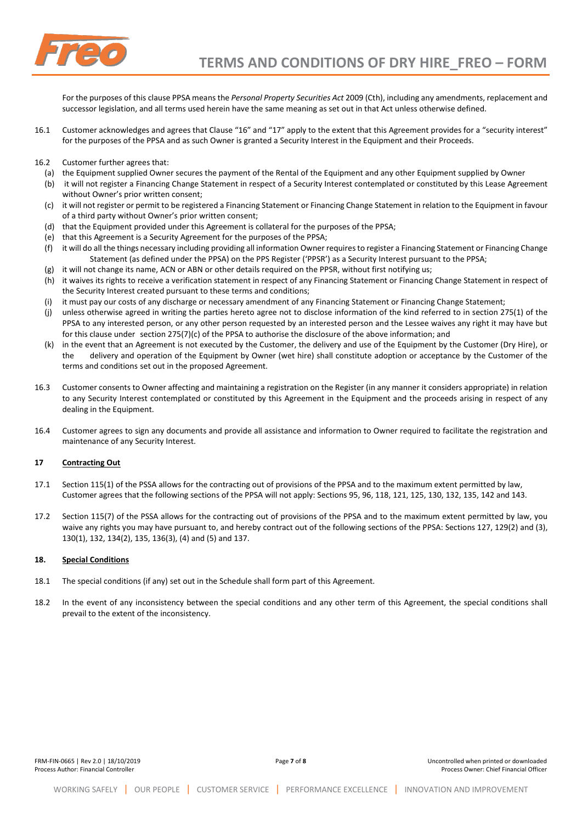

For the purposes of this clause PPSA means the *Personal Property Securities Act* 2009 (Cth), including any amendments, replacement and successor legislation, and all terms used herein have the same meaning as set out in that Act unless otherwise defined.

- 16.1 Customer acknowledges and agrees that Clause "16" and "17" apply to the extent that this Agreement provides for a "security interest" for the purposes of the PPSA and as such Owner is granted a Security Interest in the Equipment and their Proceeds.
- 16.2 Customer further agrees that:
	- (a) the Equipment supplied Owner secures the payment of the Rental of the Equipment and any other Equipment supplied by Owner
	- (b) it will not register a Financing Change Statement in respect of a Security Interest contemplated or constituted by this Lease Agreement without Owner's prior written consent;
	- (c) it will not register or permit to be registered a Financing Statement or Financing Change Statement in relation to the Equipment in favour of a third party without Owner's prior written consent;
	- (d) that the Equipment provided under this Agreement is collateral for the purposes of the PPSA;
	- (e) that this Agreement is a Security Agreement for the purposes of the PPSA;
	- (f) it will do all the things necessary including providing all information Owner requires to register a Financing Statement or Financing Change Statement (as defined under the PPSA) on the PPS Register ('PPSR') as a Security Interest pursuant to the PPSA;
	- (g) it will not change its name, ACN or ABN or other details required on the PPSR, without first notifying us;
	- (h) it waives its rights to receive a verification statement in respect of any Financing Statement or Financing Change Statement in respect of the Security Interest created pursuant to these terms and conditions;
	- (i) it must pay our costs of any discharge or necessary amendment of any Financing Statement or Financing Change Statement;
	- (j) unless otherwise agreed in writing the parties hereto agree not to disclose information of the kind referred to in section 275(1) of the PPSA to any interested person, or any other person requested by an interested person and the Lessee waives any right it may have but for this clause under section 275(7)(c) of the PPSA to authorise the disclosure of the above information; and
	- (k) in the event that an Agreement is not executed by the Customer, the delivery and use of the Equipment by the Customer (Dry Hire), or the delivery and operation of the Equipment by Owner (wet hire) shall constitute adoption or acceptance by the Customer of the terms and conditions set out in the proposed Agreement.
- 16.3 Customer consents to Owner affecting and maintaining a registration on the Register (in any manner it considers appropriate) in relation to any Security Interest contemplated or constituted by this Agreement in the Equipment and the proceeds arising in respect of any dealing in the Equipment.
- 16.4 Customer agrees to sign any documents and provide all assistance and information to Owner required to facilitate the registration and maintenance of any Security Interest.

#### **17 Contracting Out**

- 17.1 Section 115(1) of the PSSA allows for the contracting out of provisions of the PPSA and to the maximum extent permitted by law, Customer agrees that the following sections of the PPSA will not apply: Sections 95, 96, 118, 121, 125, 130, 132, 135, 142 and 143.
- 17.2 Section 115(7) of the PSSA allows for the contracting out of provisions of the PPSA and to the maximum extent permitted by law, you waive any rights you may have pursuant to, and hereby contract out of the following sections of the PPSA: Sections 127, 129(2) and (3), 130(1), 132, 134(2), 135, 136(3), (4) and (5) and 137.

#### **18. Special Conditions**

- 18.1 The special conditions (if any) set out in the Schedule shall form part of this Agreement.
- 18.2 In the event of any inconsistency between the special conditions and any other term of this Agreement, the special conditions shall prevail to the extent of the inconsistency.